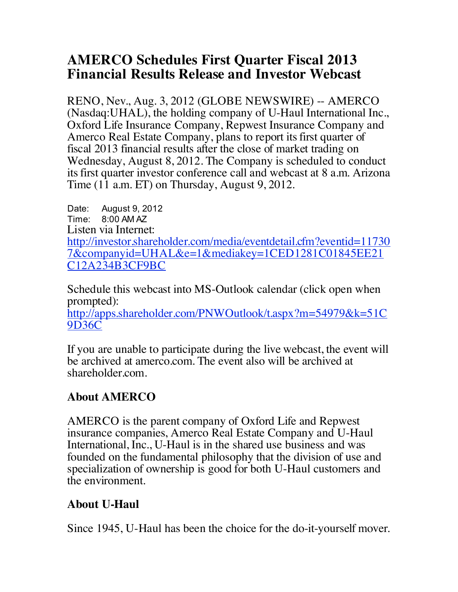## **AMERCO Schedules First Quarter Fiscal 2013 Financial Results Release and Investor Webcast**

RENO, Nev., Aug. 3, 2012 (GLOBE NEWSWIRE) -- AMERCO (Nasdaq:UHAL), the holding company of U-Haul International Inc., Oxford Life Insurance Company, Repwest Insurance Company and Amerco Real Estate Company, plans to report its first quarter of fiscal 2013 financial results after the close of market trading on Wednesday, August 8, 2012. The Company is scheduled to conduct its first quarter investor conference call and webcast at 8 a.m. Arizona Time (11 a.m. ET) on Thursday, August 9, 2012.

Date: August 9, 2012 Time: 8:00 AM AZ Listen via Internet: http://investor.shareholder.com/media/eventdetail.cfm?eventid=11730 7&companyid=UHAL&e=1&mediakey=1CED1281C01845EE21 C12A234B3CF9BC

Schedule this webcast into MS-Outlook calendar (click open when prompted):

http://apps.shareholder.com/PNWOutlook/t.aspx?m=54979&k=51C 9D36C

If you are unable to participate during the live webcast, the event will be archived at amerco.com. The event also will be archived at shareholder.com.

## **About AMERCO**

AMERCO is the parent company of Oxford Life and Repwest insurance companies, Amerco Real Estate Company and U-Haul International, Inc., U-Haul is in the shared use business and was founded on the fundamental philosophy that the division of use and specialization of ownership is good for both U-Haul customers and the environment.

## **About U-Haul**

Since 1945, U-Haul has been the choice for the do-it-yourself mover.